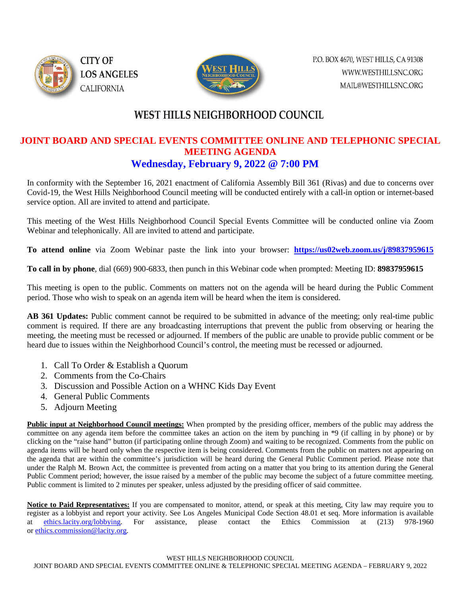



## **WEST HILLS NEIGHBORHOOD COUNCIL**

## **JOINT BOARD AND SPECIAL EVENTS COMMITTEE ONLINE AND TELEPHONIC SPECIAL MEETING AGENDA Wednesday, February 9, 2022 @ 7:00 PM**

In conformity with the September 16, 2021 enactment of California Assembly Bill 361 (Rivas) and due to concerns over Covid-19, the West Hills Neighborhood Council meeting will be conducted entirely with a call-in option or internet-based service option. All are invited to attend and participate.

This meeting of the West Hills Neighborhood Council Special Events Committee will be conducted online via Zoom Webinar and telephonically. All are invited to attend and participate.

**To attend online** via Zoom Webinar paste the link into your browser: **<https://us02web.zoom.us/j/89837959615>**

**To call in by phone**, dial (669) 900-6833, then punch in this Webinar code when prompted: Meeting ID: **89837959615**

This meeting is open to the public. Comments on matters not on the agenda will be heard during the Public Comment period. Those who wish to speak on an agenda item will be heard when the item is considered.

**AB 361 Updates:** Public comment cannot be required to be submitted in advance of the meeting; only real-time public comment is required. If there are any broadcasting interruptions that prevent the public from observing or hearing the meeting, the meeting must be recessed or adjourned. If members of the public are unable to provide public comment or be heard due to issues within the Neighborhood Council's control, the meeting must be recessed or adjourned.

- 1. Call To Order & Establish a Quorum
- 2. Comments from the Co-Chairs
- 3. Discussion and Possible Action on a WHNC Kids Day Event
- 4. General Public Comments
- 5. Adjourn Meeting

**Public input at Neighborhood Council meetings:** When prompted by the presiding officer, members of the public may address the committee on any agenda item before the committee takes an action on the item by punching in \*9 (if calling in by phone) or by clicking on the "raise hand" button (if participating online through Zoom) and waiting to be recognized. Comments from the public on agenda items will be heard only when the respective item is being considered. Comments from the public on matters not appearing on the agenda that are within the committee's jurisdiction will be heard during the General Public Comment period. Please note that under the Ralph M. Brown Act, the committee is prevented from acting on a matter that you bring to its attention during the General Public Comment period; however, the issue raised by a member of the public may become the subject of a future committee meeting. Public comment is limited to 2 minutes per speaker, unless adjusted by the presiding officer of said committee.

Notice to Paid Representatives: If you are compensated to monitor, attend, or speak at this meeting, City law may require you to register as a lobbyist and report your activity. See Los Angeles Municipal Code Section 48.01 et seq. More information is available at [ethics.lacity.org/lobbying.](http://ethics.lacity.org/lobbying) For assistance, please contact the Ethics Commission at (213) 978-1960 or [ethics.commission@lacity.org.](javascript:void(0);)